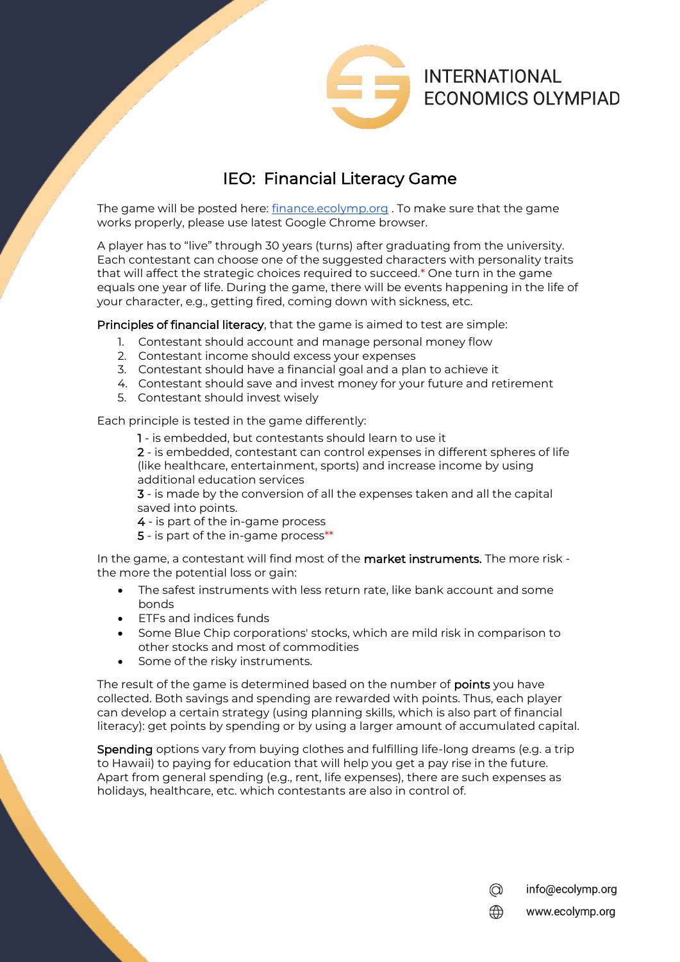

## IEO: Financial Literacy Game

The game will be posted here: [finance.ecolymp.org](http://www.finance.ecolymp.org/) . To make sure that the game works properly, please use latest Google Chrome browser.

A player has to "live" through 30 years (turns) after graduating from the university. Each contestant can choose one of the suggested characters with personality traits that will affect the strategic choices required to succeed.\* One turn in the game equals one year of life. During the game, there will be events happening in the life of your character, e.g., getting fired, coming down with sickness, etc.

Principles of financial literacy, that the game is aimed to test are simple:

- 1. Contestant should account and manage personal money flow
- 2. Contestant income should excess your expenses
- 3. Contestant should have a financial goal and a plan to achieve it
- 4. Contestant should save and invest money for your future and retirement
- 5. Contestant should invest wisely

Each principle is tested in the game differently:

1 - is embedded, but contestants should learn to use it

2 - is embedded, contestant can control expenses in different spheres of life (like healthcare, entertainment, sports) and increase income by using additional education services

3 - is made by the conversion of all the expenses taken and all the capital saved into points.

- 4 is part of the in-game process
- 5 is part of the in-game process\*\*

In the game, a contestant will find most of the **market instruments.** The more risk the more the potential loss or gain:

- The safest instruments with less return rate, like bank account and some bonds
- ETFs and indices funds
- Some Blue Chip corporations' stocks, which are mild risk in comparison to other stocks and most of commodities
- Some of the risky instruments.

The result of the game is determined based on the number of points you have collected. Both savings and spending are rewarded with points. Thus, each player can develop a certain strategy (using planning skills, which is also part of financial literacy): get points by spending or by using a larger amount of accumulated capital.

Spending options vary from buying clothes and fulfilling life-long dreams (e.g. a trip to Hawaii) to paying for education that will help you get a pay rise in the future. Apart from general spending (e.g., rent, life expenses), there are such expenses as holidays, healthcare, etc. which contestants are also in control of.

> $\circledcirc$ info@ecolymp.org www.ecolymp.org ⊕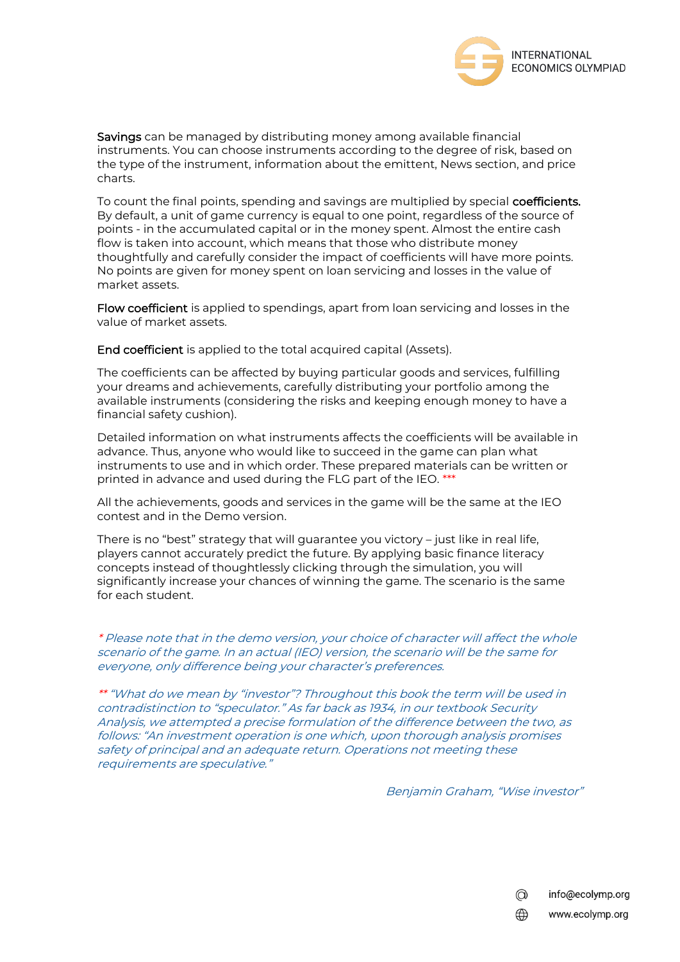

Savings can be managed by distributing money among available financial instruments. You can choose instruments according to the degree of risk, based on the type of the instrument, information about the emittent, News section, and price charts.

To count the final points, spending and savings are multiplied by special **coefficients.** By default, a unit of game currency is equal to one point, regardless of the source of points - in the accumulated capital or in the money spent. Almost the entire cash flow is taken into account, which means that those who distribute money thoughtfully and carefully consider the impact of coefficients will have more points. No points are given for money spent on loan servicing and losses in the value of market assets.

Flow coefficient is applied to spendings, apart from loan servicing and losses in the value of market assets.

End coefficient is applied to the total acquired capital (Assets).

The coefficients can be affected by buying particular goods and services, fulfilling your dreams and achievements, carefully distributing your portfolio among the available instruments (considering the risks and keeping enough money to have a financial safety cushion).

Detailed information on what instruments affects the coefficients will be available in advance. Thus, anyone who would like to succeed in the game can plan what instruments to use and in which order. These prepared materials can be written or printed in advance and used during the FLG part of the IEO. \*\*\*

All the achievements, goods and services in the game will be the same at the IEO contest and in the Demo version.

There is no "best" strategy that will guarantee you victory – just like in real life, players cannot accurately predict the future. By applying basic finance literacy concepts instead of thoughtlessly clicking through the simulation, you will significantly increase your chances of winning the game. The scenario is the same for each student.

\* Please note that in the demo version, your choice of character will affect the whole scenario of the game. In an actual (IEO) version, the scenario will be the same for everyone, only difference being your character's preferences.

\*\* "What do we mean by "investor"? Throughout this book the term will be used in contradistinction to "speculator." As far back as 1934, in our textbook Security Analysis, we attempted a precise formulation of the difference between the two, as follows: "An investment operation is one which, upon thorough analysis promises safety of principal and an adequate return. Operations not meeting these requirements are speculative."

Benjamin Graham, "Wise investor"